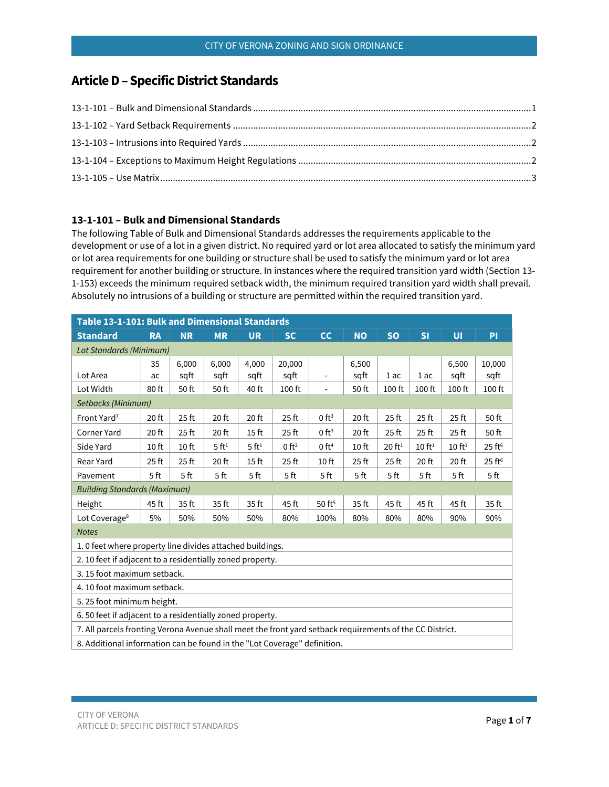# **ArticleD–Specific District Standards**

## <span id="page-0-0"></span>**13-1-101 – Bulk and Dimensional Standards**

The following Table of Bulk and Dimensional Standards addresses the requirements applicable to the development or use of a lot in a given district. No required yard or lot area allocated to satisfy the minimum yard or lot area requirements for one building or structure shall be used to satisfy the minimum yard or lot area requirement for another building or structure. In instances where the required transition yard width (Section 13- 1-153) exceeds the minimum required setback width, the minimum required transition yard width shall prevail. Absolutely no intrusions of a building or structure are permitted within the required transition yard.

<span id="page-0-1"></span>

|                                                                                                          | Table 13-1-101: Bulk and Dimensional Standards<br><b>SO</b><br>SI<br>$\overline{U}$<br><b>NR</b><br><b>MR</b><br><b>UR</b><br><b>SC</b><br>cc<br><b>NO</b><br>PI<br><b>RA</b><br>6,000<br>10,000<br>6,000<br>4,000<br>20,000<br>6,500<br>6,500<br>35<br>sqft<br>sqft<br>sqft<br>sqft<br>sqft<br>sqft<br>1 ac<br>sqft<br>1 ac<br>ac<br>$\overline{\phantom{a}}$<br>50 ft<br>40 ft<br>100 ft<br>80 ft<br>50 ft<br>100 ft<br>50 ft<br>$100$ ft<br>100 ft<br>100 ft<br>$\overline{\phantom{a}}$<br>0 ft <sup>3</sup><br>20 ft<br>25 <sub>ft</sub><br>20 ft<br>20 ft<br>25 <sub>ft</sub><br>20 ft<br>$25$ ft<br>25 <sub>ft</sub><br>25 <sub>ft</sub><br>50 ft<br>0 ft <sup>3</sup><br>20 ft<br>25 <sub>ft</sub><br>20 ft<br>15 <sub>ft</sub><br>$25$ ft<br>20 ft<br>25 <sub>ft</sub><br>25 <sub>ft</sub><br>25 <sub>ft</sub><br>50 ft<br>$5$ ft <sup>1</sup><br>5ft <sup>1</sup><br>0 ft <sup>2</sup><br>25 ft <sup>6</sup><br>10 <sub>ft</sub><br>0 ft <sup>4</sup><br>10 <sub>ft</sub><br>20 ft <sup>1</sup><br>10 ft <sup>1</sup><br>10 ft <sup>1</sup><br>10 <sub>ft</sub><br>25 ft <sup>6</sup><br>25 <sub>ft</sub><br>25 <sub>ft</sub><br>25 <sub>ft</sub><br>20 ft<br>15 <sub>ft</sub><br>25 <sub>ft</sub><br>10 <sub>ft</sub><br>25 <sub>ft</sub><br>20 ft<br>20 ft<br>5 <sub>ft</sub><br>5 <sub>ft</sub><br>5 ft<br>5 <sub>ft</sub><br>5 ft<br>5 <sub>ft</sub><br>5 <sub>ft</sub><br>5 ft<br>5 <sub>ft</sub><br>5 <sub>ft</sub><br>5 <sub>ft</sub><br>45 ft<br>35 ft<br>45 ft<br>$50$ ft <sup>5</sup><br>35 ft<br>35 ft<br>35 ft<br>45 ft<br>45 ft<br>45 ft<br>35 ft<br>50%<br>50%<br>50%<br>80%<br>100%<br>80%<br>90%<br>90%<br>5%<br>80%<br>80%<br>1. 0 feet where property line divides attached buildings.<br>2. 10 feet if adjacent to a residentially zoned property.<br>6.50 feet if adjacent to a residentially zoned property. |  |  |  |  |  |  |  |  |  |  |  |
|----------------------------------------------------------------------------------------------------------|---------------------------------------------------------------------------------------------------------------------------------------------------------------------------------------------------------------------------------------------------------------------------------------------------------------------------------------------------------------------------------------------------------------------------------------------------------------------------------------------------------------------------------------------------------------------------------------------------------------------------------------------------------------------------------------------------------------------------------------------------------------------------------------------------------------------------------------------------------------------------------------------------------------------------------------------------------------------------------------------------------------------------------------------------------------------------------------------------------------------------------------------------------------------------------------------------------------------------------------------------------------------------------------------------------------------------------------------------------------------------------------------------------------------------------------------------------------------------------------------------------------------------------------------------------------------------------------------------------------------------------------------------------------------------------------------------------------------------------------------------------------------------------------------------------------------------------------------|--|--|--|--|--|--|--|--|--|--|--|
| <b>Standard</b>                                                                                          |                                                                                                                                                                                                                                                                                                                                                                                                                                                                                                                                                                                                                                                                                                                                                                                                                                                                                                                                                                                                                                                                                                                                                                                                                                                                                                                                                                                                                                                                                                                                                                                                                                                                                                                                                                                                                                             |  |  |  |  |  |  |  |  |  |  |  |
| <b>Lot Standards (Minimum)</b>                                                                           |                                                                                                                                                                                                                                                                                                                                                                                                                                                                                                                                                                                                                                                                                                                                                                                                                                                                                                                                                                                                                                                                                                                                                                                                                                                                                                                                                                                                                                                                                                                                                                                                                                                                                                                                                                                                                                             |  |  |  |  |  |  |  |  |  |  |  |
|                                                                                                          |                                                                                                                                                                                                                                                                                                                                                                                                                                                                                                                                                                                                                                                                                                                                                                                                                                                                                                                                                                                                                                                                                                                                                                                                                                                                                                                                                                                                                                                                                                                                                                                                                                                                                                                                                                                                                                             |  |  |  |  |  |  |  |  |  |  |  |
| Lot Area                                                                                                 |                                                                                                                                                                                                                                                                                                                                                                                                                                                                                                                                                                                                                                                                                                                                                                                                                                                                                                                                                                                                                                                                                                                                                                                                                                                                                                                                                                                                                                                                                                                                                                                                                                                                                                                                                                                                                                             |  |  |  |  |  |  |  |  |  |  |  |
| Lot Width                                                                                                |                                                                                                                                                                                                                                                                                                                                                                                                                                                                                                                                                                                                                                                                                                                                                                                                                                                                                                                                                                                                                                                                                                                                                                                                                                                                                                                                                                                                                                                                                                                                                                                                                                                                                                                                                                                                                                             |  |  |  |  |  |  |  |  |  |  |  |
| Setbacks (Minimum)                                                                                       |                                                                                                                                                                                                                                                                                                                                                                                                                                                                                                                                                                                                                                                                                                                                                                                                                                                                                                                                                                                                                                                                                                                                                                                                                                                                                                                                                                                                                                                                                                                                                                                                                                                                                                                                                                                                                                             |  |  |  |  |  |  |  |  |  |  |  |
| Front Yard <sup>7</sup>                                                                                  |                                                                                                                                                                                                                                                                                                                                                                                                                                                                                                                                                                                                                                                                                                                                                                                                                                                                                                                                                                                                                                                                                                                                                                                                                                                                                                                                                                                                                                                                                                                                                                                                                                                                                                                                                                                                                                             |  |  |  |  |  |  |  |  |  |  |  |
| <b>Corner Yard</b>                                                                                       |                                                                                                                                                                                                                                                                                                                                                                                                                                                                                                                                                                                                                                                                                                                                                                                                                                                                                                                                                                                                                                                                                                                                                                                                                                                                                                                                                                                                                                                                                                                                                                                                                                                                                                                                                                                                                                             |  |  |  |  |  |  |  |  |  |  |  |
| Side Yard                                                                                                |                                                                                                                                                                                                                                                                                                                                                                                                                                                                                                                                                                                                                                                                                                                                                                                                                                                                                                                                                                                                                                                                                                                                                                                                                                                                                                                                                                                                                                                                                                                                                                                                                                                                                                                                                                                                                                             |  |  |  |  |  |  |  |  |  |  |  |
| Rear Yard                                                                                                |                                                                                                                                                                                                                                                                                                                                                                                                                                                                                                                                                                                                                                                                                                                                                                                                                                                                                                                                                                                                                                                                                                                                                                                                                                                                                                                                                                                                                                                                                                                                                                                                                                                                                                                                                                                                                                             |  |  |  |  |  |  |  |  |  |  |  |
| Pavement                                                                                                 |                                                                                                                                                                                                                                                                                                                                                                                                                                                                                                                                                                                                                                                                                                                                                                                                                                                                                                                                                                                                                                                                                                                                                                                                                                                                                                                                                                                                                                                                                                                                                                                                                                                                                                                                                                                                                                             |  |  |  |  |  |  |  |  |  |  |  |
| <b>Building Standards (Maximum)</b>                                                                      |                                                                                                                                                                                                                                                                                                                                                                                                                                                                                                                                                                                                                                                                                                                                                                                                                                                                                                                                                                                                                                                                                                                                                                                                                                                                                                                                                                                                                                                                                                                                                                                                                                                                                                                                                                                                                                             |  |  |  |  |  |  |  |  |  |  |  |
| Height                                                                                                   |                                                                                                                                                                                                                                                                                                                                                                                                                                                                                                                                                                                                                                                                                                                                                                                                                                                                                                                                                                                                                                                                                                                                                                                                                                                                                                                                                                                                                                                                                                                                                                                                                                                                                                                                                                                                                                             |  |  |  |  |  |  |  |  |  |  |  |
| Lot Coverage <sup>8</sup>                                                                                |                                                                                                                                                                                                                                                                                                                                                                                                                                                                                                                                                                                                                                                                                                                                                                                                                                                                                                                                                                                                                                                                                                                                                                                                                                                                                                                                                                                                                                                                                                                                                                                                                                                                                                                                                                                                                                             |  |  |  |  |  |  |  |  |  |  |  |
| <b>Notes</b>                                                                                             |                                                                                                                                                                                                                                                                                                                                                                                                                                                                                                                                                                                                                                                                                                                                                                                                                                                                                                                                                                                                                                                                                                                                                                                                                                                                                                                                                                                                                                                                                                                                                                                                                                                                                                                                                                                                                                             |  |  |  |  |  |  |  |  |  |  |  |
|                                                                                                          |                                                                                                                                                                                                                                                                                                                                                                                                                                                                                                                                                                                                                                                                                                                                                                                                                                                                                                                                                                                                                                                                                                                                                                                                                                                                                                                                                                                                                                                                                                                                                                                                                                                                                                                                                                                                                                             |  |  |  |  |  |  |  |  |  |  |  |
|                                                                                                          |                                                                                                                                                                                                                                                                                                                                                                                                                                                                                                                                                                                                                                                                                                                                                                                                                                                                                                                                                                                                                                                                                                                                                                                                                                                                                                                                                                                                                                                                                                                                                                                                                                                                                                                                                                                                                                             |  |  |  |  |  |  |  |  |  |  |  |
| 3.15 foot maximum setback.                                                                               |                                                                                                                                                                                                                                                                                                                                                                                                                                                                                                                                                                                                                                                                                                                                                                                                                                                                                                                                                                                                                                                                                                                                                                                                                                                                                                                                                                                                                                                                                                                                                                                                                                                                                                                                                                                                                                             |  |  |  |  |  |  |  |  |  |  |  |
| 4.10 foot maximum setback.                                                                               |                                                                                                                                                                                                                                                                                                                                                                                                                                                                                                                                                                                                                                                                                                                                                                                                                                                                                                                                                                                                                                                                                                                                                                                                                                                                                                                                                                                                                                                                                                                                                                                                                                                                                                                                                                                                                                             |  |  |  |  |  |  |  |  |  |  |  |
| 5. 25 foot minimum height.                                                                               |                                                                                                                                                                                                                                                                                                                                                                                                                                                                                                                                                                                                                                                                                                                                                                                                                                                                                                                                                                                                                                                                                                                                                                                                                                                                                                                                                                                                                                                                                                                                                                                                                                                                                                                                                                                                                                             |  |  |  |  |  |  |  |  |  |  |  |
|                                                                                                          |                                                                                                                                                                                                                                                                                                                                                                                                                                                                                                                                                                                                                                                                                                                                                                                                                                                                                                                                                                                                                                                                                                                                                                                                                                                                                                                                                                                                                                                                                                                                                                                                                                                                                                                                                                                                                                             |  |  |  |  |  |  |  |  |  |  |  |
| 7. All parcels fronting Verona Avenue shall meet the front yard setback requirements of the CC District. |                                                                                                                                                                                                                                                                                                                                                                                                                                                                                                                                                                                                                                                                                                                                                                                                                                                                                                                                                                                                                                                                                                                                                                                                                                                                                                                                                                                                                                                                                                                                                                                                                                                                                                                                                                                                                                             |  |  |  |  |  |  |  |  |  |  |  |
| 8. Additional information can be found in the "Lot Coverage" definition.                                 |                                                                                                                                                                                                                                                                                                                                                                                                                                                                                                                                                                                                                                                                                                                                                                                                                                                                                                                                                                                                                                                                                                                                                                                                                                                                                                                                                                                                                                                                                                                                                                                                                                                                                                                                                                                                                                             |  |  |  |  |  |  |  |  |  |  |  |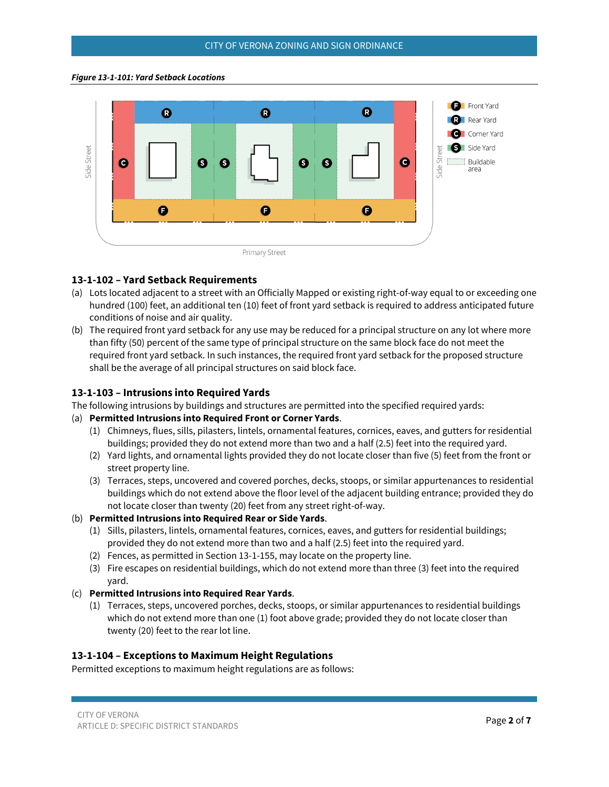#### *Figure 13-1-101: Yard Setback Locations*



#### **13-1-102 – Yard Setback Requirements**

- (a) Lots located adjacent to a street with an Officially Mapped or existing right-of-way equal to or exceeding one hundred (100) feet, an additional ten (10) feet of front yard setback is required to address anticipated future conditions of noise and air quality.
- (b) The required front yard setback for any use may be reduced for a principal structure on any lot where more than fifty (50) percent of the same type of principal structure on the same block face do not meet the required front yard setback. In such instances, the required front yard setback for the proposed structure shall be the average of all principal structures on said block face.

#### <span id="page-1-0"></span>**13-1-103 – Intrusions into Required Yards**

The following intrusions by buildings and structures are permitted into the specified required yards:

#### (a) **Permitted Intrusions into Required Front or Corner Yards**.

- (1) Chimneys, flues, sills, pilasters, lintels, ornamental features, cornices, eaves, and gutters for residential buildings; provided they do not extend more than two and a half (2.5) feet into the required yard.
- (2) Yard lights, and ornamental lights provided they do not locate closer than five (5) feet from the front or street property line.
- (3) Terraces, steps, uncovered and covered porches, decks, stoops, or similar appurtenances to residential buildings which do not extend above the floor level of the adjacent building entrance; provided they do not locate closer than twenty (20) feet from any street right-of-way.
- (b) **Permitted Intrusions into Required Rear or Side Yards**.
	- (1) Sills, pilasters, lintels, ornamental features, cornices, eaves, and gutters for residential buildings; provided they do not extend more than two and a half (2.5) feet into the required yard.
	- (2) Fences, as permitted in Section 13-1-155, may locate on the property line.
	- (3) Fire escapes on residential buildings, which do not extend more than three (3) feet into the required yard.
- (c) **Permitted Intrusions into Required Rear Yards**.
	- (1) Terraces, steps, uncovered porches, decks, stoops, or similar appurtenances to residential buildings which do not extend more than one (1) foot above grade; provided they do not locate closer than twenty (20) feet to the rear lot line.

#### <span id="page-1-1"></span>**13-1-104 – Exceptions to Maximum Height Regulations**

Permitted exceptions to maximum height regulations are as follows: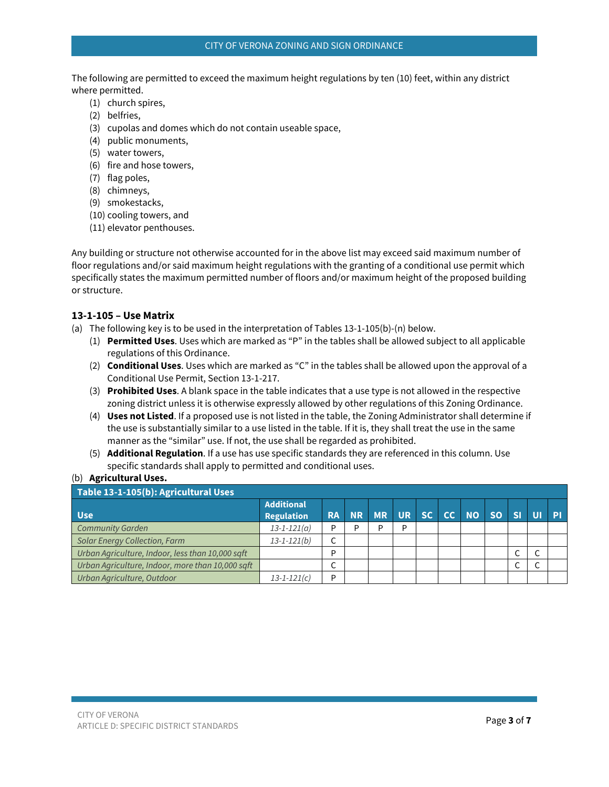The following are permitted to exceed the maximum height regulations by ten (10) feet, within any district where permitted.

- (1) church spires,
- (2) belfries,
- (3) cupolas and domes which do not contain useable space,
- (4) public monuments,
- (5) water towers,
- (6) fire and hose towers,
- (7) flag poles,
- (8) chimneys,
- (9) smokestacks,
- (10) cooling towers, and
- (11) elevator penthouses.

Any building or structure not otherwise accounted for in the above list may exceed said maximum number of floor regulations and/or said maximum height regulations with the granting of a conditional use permit which specifically states the maximum permitted number of floors and/or maximum height of the proposed building or structure.

#### <span id="page-2-0"></span>**13-1-105 – Use Matrix**

(a) The following key is to be used in the interpretation of Tables 13-1-105(b)-(n) below.

- (1) **Permitted Uses**. Uses which are marked as "P" in the tables shall be allowed subject to all applicable regulations of this Ordinance.
- (2) **Conditional Uses**. Uses which are marked as "C" in the tables shall be allowed upon the approval of a Conditional Use Permit, Section 13-1-217.
- (3) **Prohibited Uses**. A blank space in the table indicates that a use type is not allowed in the respective zoning district unless it is otherwise expressly allowed by other regulations of this Zoning Ordinance.
- (4) **Uses not Listed**. If a proposed use is not listed in the table, the Zoning Administrator shall determine if the use is substantially similar to a use listed in the table. If it is, they shall treat the use in the same manner as the "similar" use. If not, the use shall be regarded as prohibited.
- (5) **Additional Regulation**. If a use has use specific standards they are referenced in this column. Use specific standards shall apply to permitted and conditional uses.

#### (b) **Agricultural Uses.**

| Table 13-1-105(b): Agricultural Uses             |                                        |   |   |                         |   |  |  |  |  |                   |           |   |
|--------------------------------------------------|----------------------------------------|---|---|-------------------------|---|--|--|--|--|-------------------|-----------|---|
| <b>Use</b>                                       | <b>Additional</b><br><b>Regulation</b> |   |   | RA NR MR UR SC CC NO SO |   |  |  |  |  | $\blacksquare$ si | <b>UI</b> | P |
| <b>Community Garden</b>                          | $13 - 1 - 121(a)$                      | D | D | P                       | D |  |  |  |  |                   |           |   |
| <b>Solar Energy Collection, Farm</b>             | $13 - 1 - 121(b)$                      |   |   |                         |   |  |  |  |  |                   |           |   |
| Urban Agriculture, Indoor, less than 10,000 sqft |                                        | D |   |                         |   |  |  |  |  |                   |           |   |
| Urban Agriculture, Indoor, more than 10,000 sqft |                                        |   |   |                         |   |  |  |  |  |                   |           |   |
| Urban Agriculture, Outdoor                       | $13 - 1 - 121(c)$                      | D |   |                         |   |  |  |  |  |                   |           |   |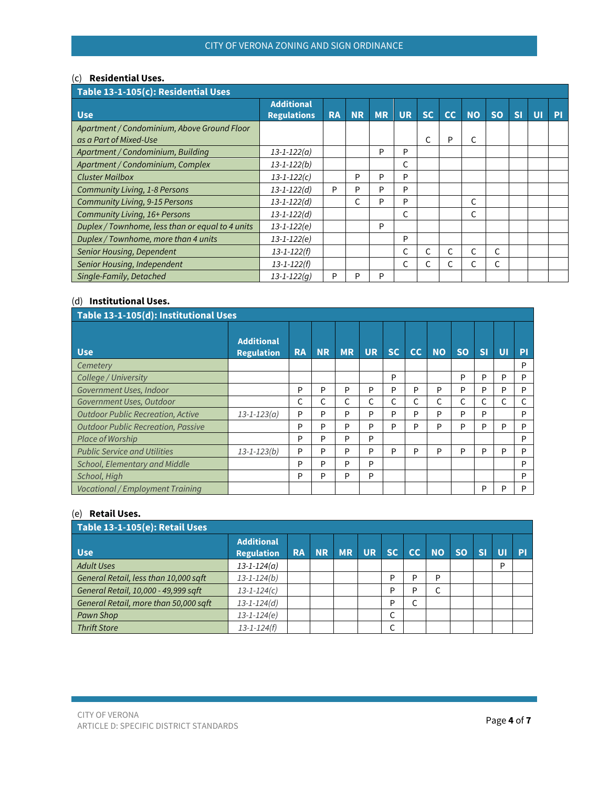### (c) **Residential Uses.**

| Table 13-1-105(c): Residential Uses                                   |                                         |           |           |           |           |           |    |           |           |    |                |    |
|-----------------------------------------------------------------------|-----------------------------------------|-----------|-----------|-----------|-----------|-----------|----|-----------|-----------|----|----------------|----|
| <b>Use</b>                                                            | <b>Additional</b><br><b>Regulations</b> | <b>RA</b> | <b>NR</b> | <b>MR</b> | <b>UR</b> | <b>SC</b> | cc | <b>NO</b> | <b>SO</b> | SI | $\overline{U}$ | PI |
| Apartment / Condominium, Above Ground Floor<br>as a Part of Mixed-Use |                                         |           |           |           |           |           | P  | C         |           |    |                |    |
| Apartment / Condominium, Building                                     | $13 - 1 - 122(a)$                       |           |           | P         | P         |           |    |           |           |    |                |    |
| Apartment / Condominium, Complex                                      | $13 - 1 - 122(b)$                       |           |           |           | C         |           |    |           |           |    |                |    |
| <b>Cluster Mailbox</b>                                                | $13 - 1 - 122(c)$                       |           | P         | P         | P         |           |    |           |           |    |                |    |
| <b>Community Living, 1-8 Persons</b>                                  | $13 - 1 - 122(d)$                       | P         | P         | P         | P         |           |    |           |           |    |                |    |
| <b>Community Living, 9-15 Persons</b>                                 | $13 - 1 - 122(d)$                       |           |           | P         | P         |           |    | C         |           |    |                |    |
| Community Living, 16+ Persons                                         | $13 - 1 - 122(d)$                       |           |           |           | C         |           |    | C         |           |    |                |    |
| Duplex / Townhome, less than or equal to 4 units                      | $13 - 1 - 122(e)$                       |           |           | P         |           |           |    |           |           |    |                |    |
| Duplex / Townhome, more than 4 units                                  | $13 - 1 - 122(e)$                       |           |           |           | P         |           |    |           |           |    |                |    |
| Senior Housing, Dependent                                             | $13 - 1 - 122(f)$                       |           |           |           | С         |           |    | C         |           |    |                |    |
| Senior Housing, Independent                                           | $13 - 1 - 122(f)$                       |           |           |           | C         | C         | C  | C         | C         |    |                |    |
| Single-Family, Detached                                               | $13 - 1 - 122(q)$                       | P         | P         | P         |           |           |    |           |           |    |                |    |

### (d) **Institutional Uses.**

| Table 13-1-105(d): Institutional Uses     |                                        |           |           |           |           |           |    |           |           |           |    |    |  |  |
|-------------------------------------------|----------------------------------------|-----------|-----------|-----------|-----------|-----------|----|-----------|-----------|-----------|----|----|--|--|
| <b>Use</b>                                | <b>Additional</b><br><b>Regulation</b> | <b>RA</b> | <b>NR</b> | <b>MR</b> | <b>UR</b> | <b>SC</b> | cc | <b>NO</b> | <b>SO</b> | <b>SI</b> | UI | PI |  |  |
| Cemetery                                  |                                        |           |           |           |           |           |    |           |           |           |    | D  |  |  |
| College / University                      |                                        |           |           |           |           | P         |    |           | P         | P         | P  | P  |  |  |
| Government Uses, Indoor                   |                                        | P         | P         | P         | P         | P         | P  | P         | P         | P         | P  | P  |  |  |
| Government Uses, Outdoor                  |                                        |           |           | C         | C         | С         |    | C         | C         |           | С  |    |  |  |
| <b>Outdoor Public Recreation, Active</b>  | $13 - 1 - 123(a)$                      | P         | P         | P         | P         | P         | P  | P         | P         | P         |    | P  |  |  |
| <b>Outdoor Public Recreation, Passive</b> |                                        | P         | P         | P         | P         | P         | P  | P         | P         | P         | P  | D  |  |  |
| Place of Worship                          |                                        | P         | P         | P         | P         |           |    |           |           |           |    | P  |  |  |
| <b>Public Service and Utilities</b>       | $13 - 1 - 123(b)$                      | P         | P         | P         | P         | P         | P  | P         | P         | P         | P  | D  |  |  |
| School, Elementary and Middle             |                                        | P         | P         | P         | P         |           |    |           |           |           |    | P  |  |  |
| School, High                              |                                        | P         | P         | P         | P         |           |    |           |           |           |    | D  |  |  |
| <b>Vocational / Employment Training</b>   |                                        |           |           |           |           |           |    |           |           | P         | D  | D  |  |  |

#### (e) **Retail Uses.**

| Table 13-1-105(e): Retail Uses        |                                        |           |           |       |  |        |    |           |           |                         |    |           |  |
|---------------------------------------|----------------------------------------|-----------|-----------|-------|--|--------|----|-----------|-----------|-------------------------|----|-----------|--|
| <b>Use</b>                            | <b>Additional</b><br><b>Regulation</b> | <b>RA</b> | <b>NR</b> | MR UR |  | SC     | CC | <b>NO</b> | <b>SO</b> | $\overline{\mathbf{S}}$ | UI | <b>PI</b> |  |
| <b>Adult Uses</b>                     | $13 - 1 - 124(a)$                      |           |           |       |  |        |    |           |           |                         | D  |           |  |
| General Retail, less than 10,000 sqft | $13 - 1 - 124(b)$                      |           |           |       |  | D      | D  | D         |           |                         |    |           |  |
| General Retail, 10,000 - 49,999 sqft  | $13 - 1 - 124(c)$                      |           |           |       |  | D      | D  |           |           |                         |    |           |  |
| General Retail, more than 50,000 sqft | $13 - 1 - 124(d)$                      |           |           |       |  | D      | ∼  |           |           |                         |    |           |  |
| Pawn Shop                             | $13 - 1 - 124(e)$                      |           |           |       |  | ╭<br>◡ |    |           |           |                         |    |           |  |
| <b>Thrift Store</b>                   | $13 - 1 - 124(f)$                      |           |           |       |  | ╭<br>◡ |    |           |           |                         |    |           |  |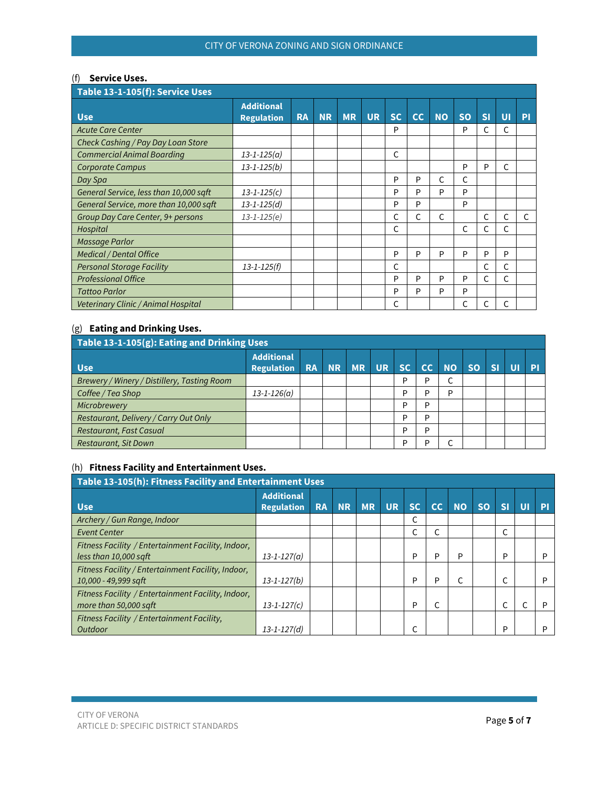#### (f) **Service Uses.**

| Table 13-1-105(f): Service Uses        |                                        |           |           |           |           |           |    |           |           |    |                |    |  |
|----------------------------------------|----------------------------------------|-----------|-----------|-----------|-----------|-----------|----|-----------|-----------|----|----------------|----|--|
| <b>Use</b>                             | <b>Additional</b><br><b>Regulation</b> | <b>RA</b> | <b>NR</b> | <b>MR</b> | <b>UR</b> | <b>SC</b> | cc | <b>NO</b> | <b>SO</b> | SI | $\overline{U}$ | PI |  |
| <b>Acute Care Center</b>               |                                        |           |           |           |           | P         |    |           | P         | C  | C              |    |  |
| Check Cashing / Pay Day Loan Store     |                                        |           |           |           |           |           |    |           |           |    |                |    |  |
| <b>Commercial Animal Boarding</b>      | $13 - 1 - 125(a)$                      |           |           |           |           | C         |    |           |           |    |                |    |  |
| <b>Corporate Campus</b>                | $13 - 1 - 125(b)$                      |           |           |           |           |           |    |           | P         | P  | C              |    |  |
| Day Spa                                |                                        |           |           |           |           | P         | P  | C         | C         |    |                |    |  |
| General Service, less than 10,000 sqft | $13 - 1 - 125(c)$                      |           |           |           |           | P         | P  | P         | P         |    |                |    |  |
| General Service, more than 10,000 sqft | $13 - 1 - 125(d)$                      |           |           |           |           | P         | P  |           | P         |    |                |    |  |
| Group Day Care Center, 9+ persons      | $13 - 1 - 125(e)$                      |           |           |           |           | С         | C  | C         |           | C  | C              | C. |  |
| Hospital                               |                                        |           |           |           |           | C         |    |           | C         | C  | C              |    |  |
| Massage Parlor                         |                                        |           |           |           |           |           |    |           |           |    |                |    |  |
| <b>Medical / Dental Office</b>         |                                        |           |           |           |           | P         | P  | P         | P         | P  | P              |    |  |
| <b>Personal Storage Facility</b>       | $13 - 1 - 125(f)$                      |           |           |           |           | C         |    |           |           | C  | C              |    |  |
| <b>Professional Office</b>             |                                        |           |           |           |           | P         | P  | P         | P         | C  | $\mathsf{C}$   |    |  |
| <b>Tattoo Parlor</b>                   |                                        |           |           |           |           | P         | P  | P         | P         |    |                |    |  |
| Veterinary Clinic / Animal Hospital    |                                        |           |           |           |           | C         |    |           |           | C  |                |    |  |

## (g) **Eating and Drinking Uses.**

| Table 13-1-105(g): Eating and Drinking Uses |                                        |  |  |          |           |    |    |           |           |           |  |           |  |
|---------------------------------------------|----------------------------------------|--|--|----------|-----------|----|----|-----------|-----------|-----------|--|-----------|--|
| <b>Use</b>                                  | <b>Additional</b><br><b>Regulation</b> |  |  | RA NR MR | <b>UR</b> | SC | CC | <b>NO</b> | <b>SO</b> | <b>SI</b> |  | <b>PI</b> |  |
| Brewery / Winery / Distillery, Tasting Room |                                        |  |  |          |           | P  | D  |           |           |           |  |           |  |
| Coffee / Tea Shop                           | $13 - 1 - 126(a)$                      |  |  |          |           | P  | D  | Þ         |           |           |  |           |  |
| Microbrewery                                |                                        |  |  |          |           | P  | D  |           |           |           |  |           |  |
| Restaurant, Delivery / Carry Out Only       |                                        |  |  |          |           | P  | D  |           |           |           |  |           |  |
| <b>Restaurant, Fast Casual</b>              |                                        |  |  |          |           | P  | D  |           |           |           |  |           |  |
| Restaurant, Sit Down                        |                                        |  |  |          |           | P  | D  |           |           |           |  |           |  |

### (h) **Fitness Facility and Entertainment Uses.**

| Table 13-105(h): Fitness Facility and Entertainment Uses                     |                                        |           |           |           |           |           |    |           |           |                         |    |   |  |
|------------------------------------------------------------------------------|----------------------------------------|-----------|-----------|-----------|-----------|-----------|----|-----------|-----------|-------------------------|----|---|--|
| <b>Use</b>                                                                   | <b>Additional</b><br><b>Regulation</b> | <b>RA</b> | <b>NR</b> | <b>MR</b> | <b>UR</b> | <b>SC</b> | cc | <b>NO</b> | <b>SO</b> | $\overline{\mathbf{S}}$ | UI | P |  |
| Archery / Gun Range, Indoor                                                  |                                        |           |           |           |           |           |    |           |           |                         |    |   |  |
| <b>Event Center</b>                                                          |                                        |           |           |           |           |           |    |           |           |                         |    |   |  |
| Fitness Facility / Entertainment Facility, Indoor,<br>less than 10,000 saft  | $13 - 1 - 127(a)$                      |           |           |           |           | P         | P  | P         |           | P                       |    | D |  |
| Fitness Facility / Entertainment Facility, Indoor,<br>$10,000$ - 49,999 sqft | $13 - 1 - 127(b)$                      |           |           |           |           | D         | P  |           |           |                         |    | D |  |
| Fitness Facility / Entertainment Facility, Indoor,<br>more than 50,000 saft  | $13 - 1 - 127(c)$                      |           |           |           |           | P         |    |           |           |                         |    | D |  |
| Fitness Facility / Entertainment Facility,<br>Outdoor                        | $13 - 1 - 127(d)$                      |           |           |           |           |           |    |           |           | P                       |    | D |  |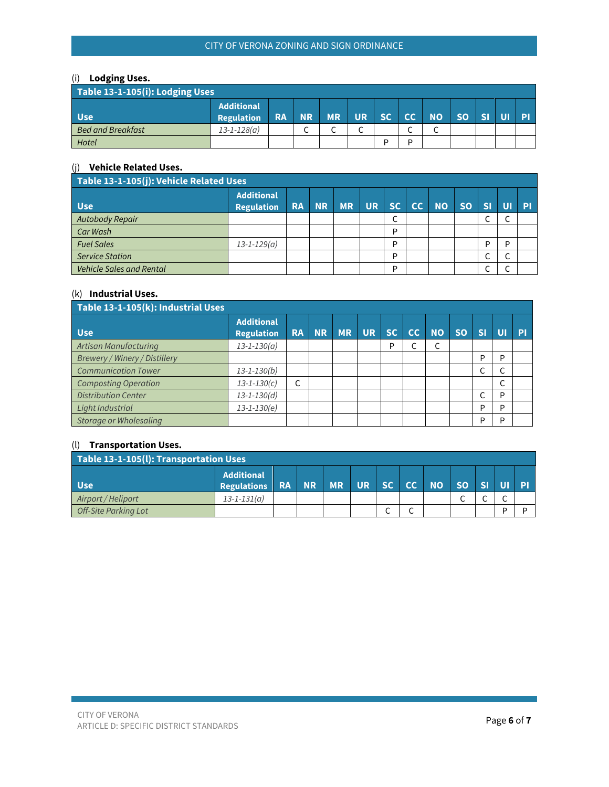## CITY OF VERONA ZONING AND SIGN ORDINANCE

## (i) **Lodging Uses.**

| Table 13-1-105 $(i)$ : Lodging Uses |                                        |           |           |           |           |           |        |           |           |              |  |
|-------------------------------------|----------------------------------------|-----------|-----------|-----------|-----------|-----------|--------|-----------|-----------|--------------|--|
| <b>Use</b>                          | <b>Additional</b><br><b>Regulation</b> | <b>RA</b> | <b>NR</b> | <b>MR</b> | <b>UR</b> | <b>SC</b> | cc     | <b>NO</b> | <b>SO</b> | $\mathbf{C}$ |  |
| <b>Bed and Breakfast</b>            | $13 - 1 - 128(a)$                      |           | ∽         | ∽<br>֊    | ∽<br>◡    |           | ∽<br>֊ | ∽<br>◡    |           |              |  |
| Hotel                               |                                        |           |           |           |           | D         | D      |           |           |              |  |

### (j) **Vehicle Related Uses.**

| Table 13-1-105(j): Vehicle Related Uses |                                        |           |           |           |             |        |    |           |           |           |        |           |  |
|-----------------------------------------|----------------------------------------|-----------|-----------|-----------|-------------|--------|----|-----------|-----------|-----------|--------|-----------|--|
| <b>Use</b>                              | <b>Additional</b><br><b>Regulation</b> | <b>RA</b> | <b>NR</b> | <b>MR</b> | UR <b>I</b> | SC     | CC | <b>NO</b> | <b>SO</b> | <b>SF</b> | UI     | <b>PI</b> |  |
| Autobody Repair                         |                                        |           |           |           |             | ╭<br>◡ |    |           |           |           | C      |           |  |
| Car Wash                                |                                        |           |           |           |             | D      |    |           |           |           |        |           |  |
| <b>Fuel Sales</b>                       | $13 - 1 - 129(a)$                      |           |           |           |             | D      |    |           |           | D         | P      |           |  |
| <b>Service Station</b>                  |                                        |           |           |           |             | D      |    |           |           |           | ╭<br>◡ |           |  |
| <b>Vehicle Sales and Rental</b>         |                                        |           |           |           |             | D      |    |           |           |           | ╭<br>◡ |           |  |

### (k) **Industrial Uses.**

| Table 13-1-105(k): Industrial Uses   |                                        |           |           |           |           |           |    |           |           |                     |    |    |  |
|--------------------------------------|----------------------------------------|-----------|-----------|-----------|-----------|-----------|----|-----------|-----------|---------------------|----|----|--|
| <b>Use</b>                           | <b>Additional</b><br><b>Regulation</b> | <b>RA</b> | <b>NR</b> | <b>MR</b> | <b>UR</b> | <b>SC</b> | cc | <b>NO</b> | <b>SO</b> | <b>SI</b>           | UI | PI |  |
| Artisan Manufacturing                | $13 - 1 - 130(a)$                      |           |           |           |           | P         |    |           |           |                     |    |    |  |
| <b>Brewery / Winery / Distillery</b> |                                        |           |           |           |           |           |    |           |           | P                   | P  |    |  |
| <b>Communication Tower</b>           | $13 - 1 - 130(b)$                      |           |           |           |           |           |    |           |           | ╭<br>J              |    |    |  |
| <b>Composting Operation</b>          | $13 - 1 - 130(c)$                      | C         |           |           |           |           |    |           |           |                     |    |    |  |
| <b>Distribution Center</b>           | $13 - 1 - 130(d)$                      |           |           |           |           |           |    |           |           | $\overline{ }$<br>◡ | P  |    |  |
| Light Industrial                     | $13 - 1 - 130(e)$                      |           |           |           |           |           |    |           |           | P                   | P  |    |  |
| Storage or Wholesaling               |                                        |           |           |           |           |           |    |           |           | P                   | P  |    |  |

## (l) **Transportation Uses.**

| Table 13-1-105(l): Transportation Uses |                                         |  |  |                    |  |  |                                           |           |           |        |   |  |
|----------------------------------------|-----------------------------------------|--|--|--------------------|--|--|-------------------------------------------|-----------|-----------|--------|---|--|
| <b>Use</b>                             | <b>Additional</b><br><b>Regulations</b> |  |  | <b>RANR MRURSC</b> |  |  | $\blacktriangle$ CC $\blacktriangleright$ | <b>NO</b> | <b>SO</b> |        |   |  |
| Airport / Heliport                     | $13 - 1 - 131(a)$                       |  |  |                    |  |  |                                           |           |           | ∽<br>◡ | ∼ |  |
| <b>Off-Site Parking Lot</b>            |                                         |  |  |                    |  |  |                                           |           |           |        |   |  |